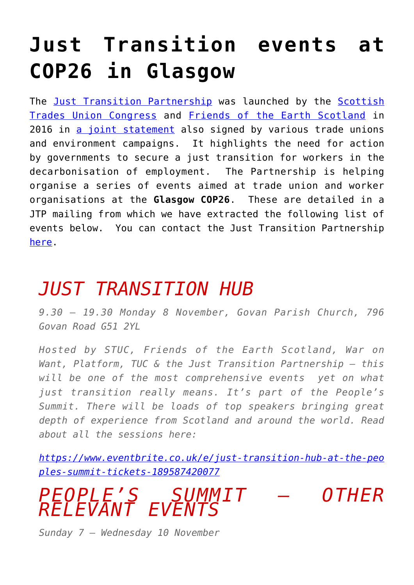## **[Just Transition events at](https://www.ecosocialist.scot/?p=849) [COP26 in Glasgow](https://www.ecosocialist.scot/?p=849)**

The [Just Transition Partnership](https://www.jtp.scot/) was launched by the [Scottish](https://stuc.org.uk/) [Trades Union Congress](https://stuc.org.uk/) and [Friends of the Earth Scotland](https://foe.scot/) in 2016 in [a joint statement](https://www.jtp.scot/time-for-a-just-transition/about-us/) also signed by various trade unions and environment campaigns. It highlights the need for action by governments to secure a just transition for workers in the decarbonisation of employment. The Partnership is helping organise a series of events aimed at trade union and worker organisations at the **Glasgow COP26**. These are detailed in a JTP mailing from which we have extracted the following list of events below. You can contact the Just Transition Partnership [here](https://www.jtp.scot/contact-us/).

## *JUST TRANSITION HUB*

*9.30 – 19.30 Monday 8 November, Govan Parish Church, 796 Govan Road G51 2YL*

*Hosted by STUC, Friends of the Earth Scotland, War on Want, Platform, TUC & the Just Transition Partnership – this will be one of the most comprehensive events yet on what just transition really means. It's part of the People's Summit. There will be loads of top speakers bringing great depth of experience from Scotland and around the world. Read about all the sessions here:*

*[https://www.eventbrite.co.uk/e/just-transition-hub-at-the-peo](https://www.eventbrite.co.uk/e/just-transition-hub-at-the-peoples-summit-tickets-189587420077) [ples-summit-tickets-189587420077](https://www.eventbrite.co.uk/e/just-transition-hub-at-the-peoples-summit-tickets-189587420077)*

*PEOPLE'S SUMMIT – OTHER RELEVANT EVENTS*

*Sunday 7 – Wednesday 10 November*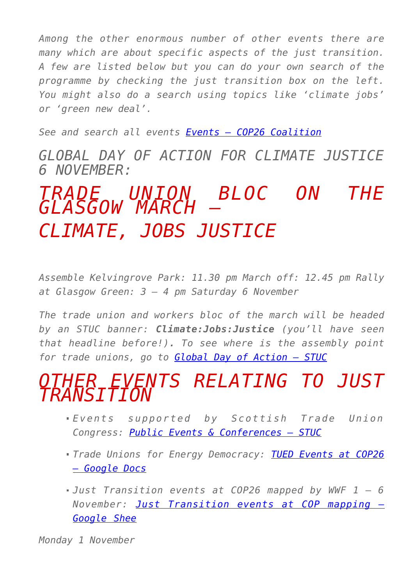*Among the other enormous number of other events there are many which are about specific aspects of the just transition. A few are listed below but you can do your own search of the programme by checking the just transition box on the left. You might also do a search using topics like 'climate jobs' or 'green new deal'.*

*See and search all events [Events – COP26 Coalition](https://cop26coalition.org/peoples-summit/)*

*GLOBAL DAY OF ACTION FOR CLIMATE JUSTICE 6 NOVEMBER:*

## *TRADE UNION BLOC ON THE GLASGOW MARCH – CLIMATE, JOBS JUSTICE*

*Assemble Kelvingrove Park: 11.30 pm March off: 12.45 pm Rally at Glasgow Green: 3 – 4 pm Saturday 6 November*

*The trade union and workers bloc of the march will be headed by an STUC banner: Climate:Jobs:Justice (you'll have seen that headline before!). To see where is the assembly point for trade unions, go to [Global Day of Action – STUC](https://stuc.org.uk/campaigns-and-events/campaigns/cop-26/global-day-of-action)*

## *OTHER EVENTS RELATING TO JUST TRANSITION*

- *Events supported by Scottish Trade Union Congress: [Public Events & Conferences – STUC](https://stuc.org.uk/about-the-stuc/events)*
- *Trade Unions for Energy Democracy: [TUED Events at COP26](https://docs.google.com/document/d/1CXHoJrVzyAWP_08Gf1EaMWRHZn-fkmnHPy4MeN9CC30/edit) [– Google Docs](https://docs.google.com/document/d/1CXHoJrVzyAWP_08Gf1EaMWRHZn-fkmnHPy4MeN9CC30/edit)*
- *Just Transition events at COP26 mapped by WWF 1 6 November: [Just Transition events at COP mapping –](https://docs.google.com/spreadsheets/d/16YBu3loLjZB_76hjPUAQ-uI1bqixuyxbj5jnSjsYvbQ/edit?pli=1#gid=0) [Google Shee](https://docs.google.com/spreadsheets/d/16YBu3loLjZB_76hjPUAQ-uI1bqixuyxbj5jnSjsYvbQ/edit?pli=1#gid=0)*

*Monday 1 November*